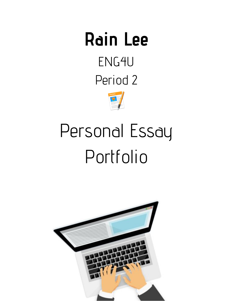## **Rain Lee** ENG4U Period 2



# Personal Essay Portfolio

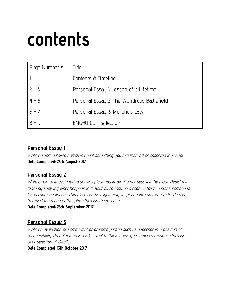## **contents**

| Page Number(s) | Title                                      |
|----------------|--------------------------------------------|
|                | Contents & Timeline                        |
| $2 - 3$        | Personal Essay 1: Lesson of a Lifetime     |
| $4 - 5$        | Personal Essay 2: The Wondrous Battlefield |
| $6 - 7$        | Personal Essay 3: Murphy's Law             |
| $8 - 9$        | <b>ENG4U CCT Reflection</b>                |

## **Personal Essay 1**

Write <sup>a</sup> short, detailed narrative about something you experienced or observed in school. **Date Completed: 25th August 2017**

### **Personal Essay 2**

Write <sup>a</sup> narrative designed to show <sup>a</sup> place you know. Do not describe the place. Depict the place by showing what happens in it. Your place may be a room, a town, a store, someone's living room, anywhere. This place can be frightening, inspirational, comforting, etc.. Be sure to reflect the mood of this place through the 5 senses.

**Date Completed: 25th September 2017**

## **Personal Essay 3**

Write an evaluation of some event or of some person such as <sup>a</sup> teacher in <sup>a</sup> position of responsibility. Do not tell your reader what to think. Guide your reader's response through your selection of details.

**Date Completed: 13th October 2017**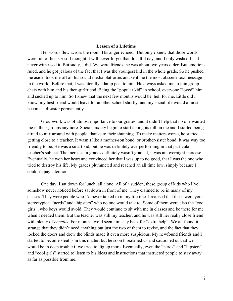### **Lesson of a Lifetime**

Her words flew across the room. His anger echoed. But only *I* knew that those words were full of lies. Or so I thought. I will never forget that dreadful day, and I only wished I had never witnessed it. But sadly, I did. We were friends, he was about two years older. But emotions ruled, and he got jealous of the fact that I was the youngest kid in the whole grade. So he pushed me aside, took me off all his social media platforms and sent me the most obscene text message in the world. Before that, I was literally a lamp post to him. He always asked me to join group chats with him and his then-girlfriend. Being the "popular kid" in school, everyone "loved" him and sucked up to him. So I knew that the next few months would be hell for me. Little did I know, my best friend would leave for another school shortly, and my social life would almost become a disaster permanently.

Groupwork was of utmost importance to our grades, and it didn't help that no one wanted me in their groups anymore. Social anxiety begin to start taking its toll on me and I started being afraid to mix around with people, thanks to their shunning. To make matters worse, he started getting close to a teacher. It wasn't like a mother-son bond, or brother-sister bond. It was way too friendly to be. He was a smart kid, but he was definitely overperforming in that particular teacher's subject. The increase in grades definitely wasn't gradual, it was an overnight increase. Eventually, he won her heart and convinced her that I was up to no good, that I was the one who tried to destroy his life. My grades plummeted and reached an all time low, simply because I couldn't pay attention.

One day, I sat down for lunch, all alone. All of a sudden, these group of kids who I've somehow never noticed before sat down in front of me. They claimed to be in many of my classes. They were people who I'd never talked to in my lifetime. I realised that these were your stereotypical "nerds" and "hipsters" who no one would talk to. Some of them were also the "cool girls", who boys would avoid. They would continue to sit with me in classes and be there for me when I needed them. But the teacher was still my teacher, and he was still her really close friend with plenty of *benefits*. For months, we'd seen him stay back for "extra help". We all found it strange that they didn't need anything but just the two of them to revise, and the fact that they locked the doors and drew the blinds made it even more suspicious. My newfound friends and I started to become sleuths in this matter, but he soon threatened us and cautioned us that we would be in deep trouble if we tried to dig up more. Eventually, even the "nerds" and "hipsters" and "cool girls" started to listen to his ideas and instructions that instructed people to stay away as far as possible from me.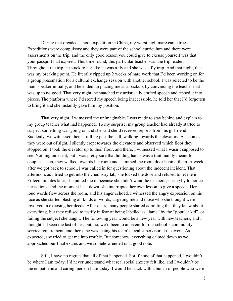During that dreaded school expedition in China, my worst nightmare came true. Expeditions were compulsory and they were part of the school curriculum and there were assessments on the trip, and the only good reason you could give to excuse yourself was that your passport had expired. This time round, this particular teacher was the trip leader. Throughout the trip, he stuck to her like he was a fly and she was a fly trap. And that night, that was my breaking point. He literally ripped up 2 weeks of hard work that I'd been working on for a group presentation for a cultural exchange session with another school. I was selected to be the main speaker initially, and he ended up placing me as a backup, by convincing the teacher that I was up to no good. That very night, he snatched my artistically crafted speech and ripped it into pieces. The platform where I'd stored my speech being inaccessible, he told her that I'd forgotten to bring it and she instantly gave him my position.

That very night, I witnessed the unimaginable. I was made to stay behind and explain to my group teacher what had happened. To my surprise, my group teacher had already started to suspect something was going on and she said she'd received reports from his girlfriend. Suddenly, we witnessed them strolling past the hall, walking towards the elevators. As soon as they were out of sight, I silently crept towards the elevators and observed which floor they stopped on. I took the elevator up to their floor, and there, I witnessed what I wasn't supposed to see. Nothing indecent, but I was pretty sure that holding hands was a trait mainly meant for couples. Then, they walked towards her room and slammed the room door behind them. A week after we got back to school, I was called in for questioning about the indecent incident. That afternoon, as I tried to get into the chemistry lab, she locked the door and refused to let me in. Fifteen minutes later, she pulled me in because she didn't want the teachers passing by to notice her actions, and the moment I sat down, she interrupted her own lesson to give a speech. Her loud words flew across the room, and his anger echoed. I witnessed the angry expression on his face as she started blasting all kinds of words, targeting me and those who she thought were involved in exposing her deeds. After class, many people started admitting that they knew about everything, but they refused to testify in fear of being labelled as "lame" by the "popular kid", or failing the subject she taught. The following year would be a new year with new teachers, and I thought I'd seen the last of her, but, no, we'd been to an event for our school's community service requirement, and there she was, being his team's legal supervisor at the event. As expected, she tried to get me into trouble. But somehow, everything calmed down as we approached our final exams and we somehow ended on a good note.

Still, I have no regrets that all of that happened. For if none of that happened, I wouldn't be where I am today. I'd never understand what real social anxiety felt like, and I wouldn't be the empathetic and caring person I am today. I would be stuck with a bunch of people who were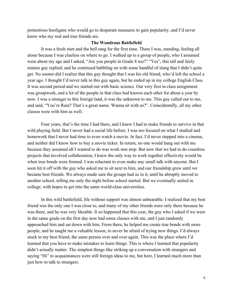pretentious hooligans who would go to desperate measures to gain popularity, and I'd never know who my real and true friends are.

### **The Wondrous Battlefield**

It was a fresh start and the bell rang for the first time. There I was, standing, feeling all alone because I was clueless on where to go. I walked up to a group of people, who I assumed were about my age and I asked, "Are you people in Grade 8 too?" "Yes", this tall and fairly mature guy replied, and he continued babbling on with some handful of slang that I didn't quite get. No sooner did I realize that this guy thought that I was his old friend, who'd left the school a year ago. I thought I'd never talk to this guy again, but he ended up in my college English Class. It was second period and we started out with basic science. Our very first in class assignment was groupwork, and a lot of the people in that class had known each other for about a year by now. I was a stranger to this foreign land, it was the unknown to me. This guy called out to me, and said, "You're Rain? That's a great name. Wanna sit with us?". Coincidentally, all my other classes were with him as well.

Four years, that's the time I had there, and I knew I had to make friends to survive in that wild playing field. But I never had a social life before. I was too focused on what I studied and homework that I never had time to even watch a movie. In fact, I'd never stepped into a cinema, and neither did I know how to buy a movie ticket. In return, no one would hang out with me because they assumed all I wanted to do was work non stop. But now that we had to do countless projects that involved collaboration, I knew the only way to work together effectively would be when true bonds were formed. I was reluctant to even make any small talk with anyone. But I soon hit it off with the guy who asked me to sit next to him, and our friendship grew until we became best friends. We always made sure the groups had us in it, until he abruptly moved to another school, telling me only the night before school started. But we eventually united in college, with hopes to get into the same world-class universities.

In this wild battlefield, life without support was almost unbearable. I realized that my best friend was the only one I was close to, and many of my other friends were only there because he was there, and he was very likeable. It so happened that this year, the guy who I asked if we were in the same grade on the first day now had some classes with me, and I just randomly approached him and sat down with him. From there, he helped me create true bonds with more people, and he taught me a valuable lesson, to never be afraid of trying new things. I'd always stuck to my best friend, the same person over and over again. This was the place where I'd learned that you have to make mistakes to learn things. This is where I learned that popularity didn't actually matter. The simplest things like striking up a conversation with strangers and saying "Hi" to acquaintances were still foreign ideas to me, but here, I learned much more than just how to talk to strangers.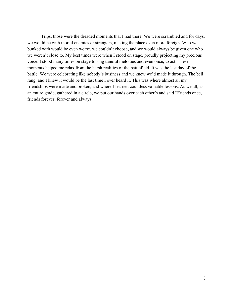Trips, those were the dreaded moments that I had there. We were scrambled and for days, we would be with mortal enemies or strangers, making the place even more foreign. Who we bunked with would be even worse, we couldn't choose, and we would always be given one who we weren't close to. My best times were when I stood on stage, proudly projecting my precious voice. I stood many times on stage to sing tuneful melodies and even once, to act. These moments helped me relax from the harsh realities of the battlefield. It was the last day of the battle. We were celebrating like nobody's business and we knew we'd made it through. The bell rang, and I knew it would be the last time I ever heard it. This was where almost all my friendships were made and broken, and where I learned countless valuable lessons. As we all, as an entire grade, gathered in a circle, we put our hands over each other's and said "Friends once, friends forever, forever and always."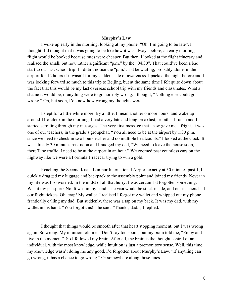#### **Murphy's Law**

I woke up early in the morning, looking at my phone. "Oh, I'm going to be late", I thought. I'd thought that it was going to be like how it was always before, an early morning flight would be booked because rates were cheaper. But then, I looked at the flight itinerary and realised the small, but now rather significant "p.m." by the "04:30". That could've been a bad start to our last school trip if I didn't notice the "p.m.". I'd be waiting, probably alone, in the airport for 12 hours if it wasn't for my sudden state of awareness. I packed the night before and I was looking forward so much to this trip to Beijing, but at the same time I felt quite down about the fact that this would be my last overseas school trip with my friends and classmates. What a shame it would be, if anything were to go horribly wrong. I thought, "Nothing else could go wrong." Oh, but soon, I'd know how wrong my thoughts were.

I slept for a little while more. By a little, I mean another 6 more hours, and woke up around 11 o'clock in the morning. I had a very late and long breakfast, or rather brunch and I started scrolling through my messages. The very first message that I saw gave me a fright. It was one of our teachers, in the grade's groupchat. "You all need to be at the airport by 1:30 p.m. since we need to check in two hours earlier and do multiple headcounts." I looked at the clock. It was already 30 minutes past noon and I nudged my dad, "We need to leave the house soon, there'll be traffic. I need to be at the airport in an hour." We zoomed past countless cars on the highway like we were a Formula 1 racecar trying to win a gold.

Reaching the Second Kuala Lumpur International Airport exactly at 30 minutes past 1, I quickly dragged my luggage and backpack to the assembly point and joined my friends. Never in my life was I so worried. In the midst of all that hurry, I was certain I'd forgotten something. Was it my passport? No. It was in my hand. The visa would be stuck inside, and our teachers had our flight tickets. Oh, crap! My wallet. I realised I forgot my wallet and whipped out my phone, frantically calling my dad. But suddenly, there was a tap on my back. It was my dad, with my wallet in his hand. "You forgot this!", he said. "Thanks, dad.", I replied.

I thought that things would be smooth after that heart stopping moment, but I was wrong again. So wrong. My intuition told me, "Don't say too soon", but my brain told me, "Enjoy and live in the moment". So I followed my brain. After all, the brain is the thought central of an individual, with the most knowledge, while intuition is just a premonitory sense. Well, this time, my knowledge wasn't doing me any good. I'd forgotten about Murphy's Law. "If anything can go wrong, it has a chance to go wrong." Or somewhere along those lines.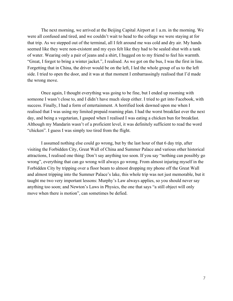The next morning, we arrived at the Beijing Capital Airport at 1 a.m. in the morning. We were all confused and tired, and we couldn't wait to head to the college we were staying at for that trip. As we stepped out of the terminal, all I felt around me was cold and dry air. My hands seemed like they were non-existent and my eyes felt like they had to be sealed shut with a tank of water. Wearing only a pair of jeans and a shirt, I hugged on to my friend to feel his warmth. "Great, I forgot to bring a winter jacket.", I realised. As we got on the bus, I was the first in line. Forgetting that in China, the driver would be on the left, I led the whole group of us to the left side. I tried to open the door, and it was at that moment I embarrassingly realised that I'd made the wrong move.

Once again, I thought everything was going to be fine, but I ended up rooming with someone I wasn't close to, and I didn't have much sleep either. I tried to get into Facebook, with success. Finally, I had a form of entertainment. A horrified look dawned upon me when I realised that I was using my limited prepaid roaming plan. I had the worst breakfast ever the next day, and being a vegetarian, I gasped when I realised I was eating a chicken bun for breakfast. Although my Mandarin wasn't of a proficient level, it was definitely sufficient to read the word "chicken". I guess I was simply too tired from the flight.

I assumed nothing else could go wrong, but by the last hour of that 6 day trip, after visiting the Forbidden City, Great Wall of China and Summer Palace and various other historical attractions, I realised one thing: Don't say anything too soon. If you say "nothing can possibly go wrong", everything that can go wrong will always go wrong. From almost injuring myself in the Forbidden City by tripping over a floor beam to almost dropping my phone off the Great Wall and almost tripping into the Summer Palace's lake, this whole trip was not just memorable, but it taught me two very important lessons: Murphy's Law always applies, so you should never say anything too soon; and Newton's Laws in Physics, the one that says "a still object will only move when there is motion", can sometimes be defied.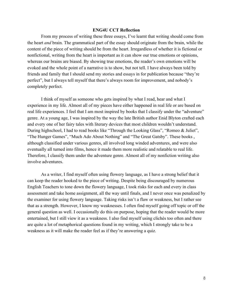#### **ENG4U CCT Reflection**

From my process of writing these three essays, I've learnt that writing should come from the heart *and* brain. The grammatical part of the essay should originate from the brain, while the content of the piece of writing should be from the heart. Irregardless of whether it is fictional or nonfictional, writing from the heart is important as it can show our true emotions or opinions, whereas our brains are biased. By showing true emotions, the reader's own emotions will be evoked and the whole point of a narrative is to show, but not tell. I have always been told by friends and family that I should send my stories and essays in for publication because "they're perfect", but I always tell myself that there's always room for improvement, and nobody's completely perfect.

I think of myself as someone who gets inspired by what I read, hear and what I experience in my life. Almost all of my pieces have either happened in real life or are based on real life experiences. I feel that I am most inspired by books that I classify under the "adventure" genre. At a young age, I was inspired by the way the late British author Enid Blyton crafted each and every one of her fairy tales with literary devices that most children wouldn't understand. During highschool, I had to read books like "Through the Looking Glass", "Romeo & Juliet", "The Hunger Games", "Much Ado About Nothing" and "The Great Gatsby". These books , although classified under various genres, all involved long winded adventures, and were also eventually all turned into films, hence it made them more realistic and relatable to real life. Therefore, I classify them under the adventure genre. Almost all of my nonfiction writing also involve adventures.

As a writer, I find myself often using flowery language, as I have a strong belief that it can keep the reader hooked to the piece of writing. Despite being discouraged by numerous English Teachers to tone down the flowery language, I took risks for each and every in class assessment and take home assignment, all the way until finals, and I never once was penalized by the examiner for using flowery language. Taking risks isn't a flaw or weakness, but I rather see that as a strength. However, I know my weaknesses. I often find myself going off topic or off the general question as well. I occasionally do this on purpose, hoping that the reader would be more entertained, but I still view it as a weakness. I also find myself using clichés too often and there are quite a lot of metaphorical questions found in my writing, which I strongly take to be a weakness as it will make the reader feel as if they're answering a quiz.